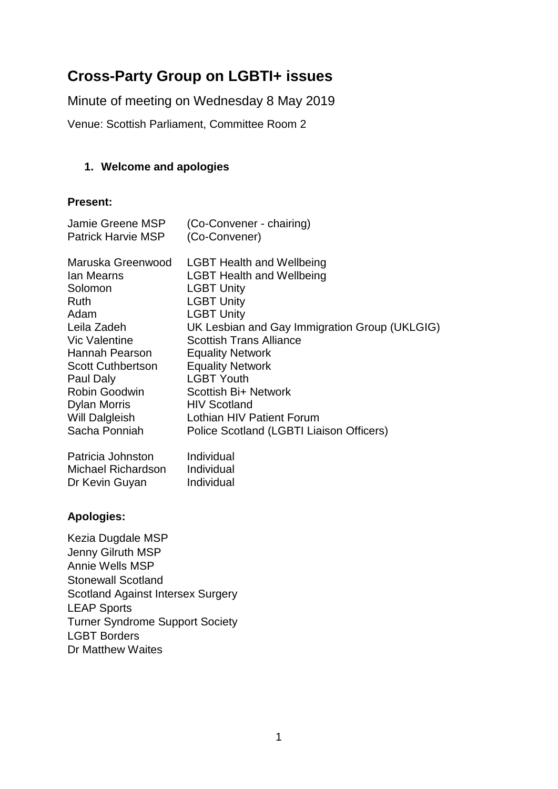# **Cross-Party Group on LGBTI+ issues**

Minute of meeting on Wednesday 8 May 2019

Venue: Scottish Parliament, Committee Room 2

# **1. Welcome and apologies**

#### **Present:**

| Jamie Greene MSP<br><b>Patrick Harvie MSP</b>                                                                                                                                                                                                                                             | (Co-Convener - chairing)<br>(Co-Convener)                                                                                                                                                                                                                                                                                                                                                                                                             |
|-------------------------------------------------------------------------------------------------------------------------------------------------------------------------------------------------------------------------------------------------------------------------------------------|-------------------------------------------------------------------------------------------------------------------------------------------------------------------------------------------------------------------------------------------------------------------------------------------------------------------------------------------------------------------------------------------------------------------------------------------------------|
| Maruska Greenwood<br><b>Ian Mearns</b><br>Solomon<br>Ruth<br>Adam<br>Leila Zadeh<br><b>Vic Valentine</b><br>Hannah Pearson<br><b>Scott Cuthbertson</b><br>Paul Daly<br>Robin Goodwin<br><b>Dylan Morris</b><br>Will Dalgleish<br>Sacha Ponniah<br>Patricia Johnston<br>Michael Richardson | <b>LGBT Health and Wellbeing</b><br><b>LGBT Health and Wellbeing</b><br><b>LGBT Unity</b><br><b>LGBT Unity</b><br><b>LGBT Unity</b><br>UK Lesbian and Gay Immigration Group (UKLGIG)<br><b>Scottish Trans Alliance</b><br><b>Equality Network</b><br><b>Equality Network</b><br><b>LGBT Youth</b><br>Scottish Bi+ Network<br><b>HIV Scotland</b><br>Lothian HIV Patient Forum<br>Police Scotland (LGBTI Liaison Officers)<br>Individual<br>Individual |
| Dr Kevin Guyan                                                                                                                                                                                                                                                                            | Individual                                                                                                                                                                                                                                                                                                                                                                                                                                            |
| <b>Apologies:</b>                                                                                                                                                                                                                                                                         |                                                                                                                                                                                                                                                                                                                                                                                                                                                       |
| Kezia Dugdale MSP<br>Jenny Gilruth MSP<br><b>Annie Wells MSP</b><br><b>Stonewall Scotland</b><br><b>Scotland Against Intersex Surgery</b><br><b>LEAP Sports</b>                                                                                                                           |                                                                                                                                                                                                                                                                                                                                                                                                                                                       |

Turner Syndrome Support Society LGBT Borders

Dr Matthew Waites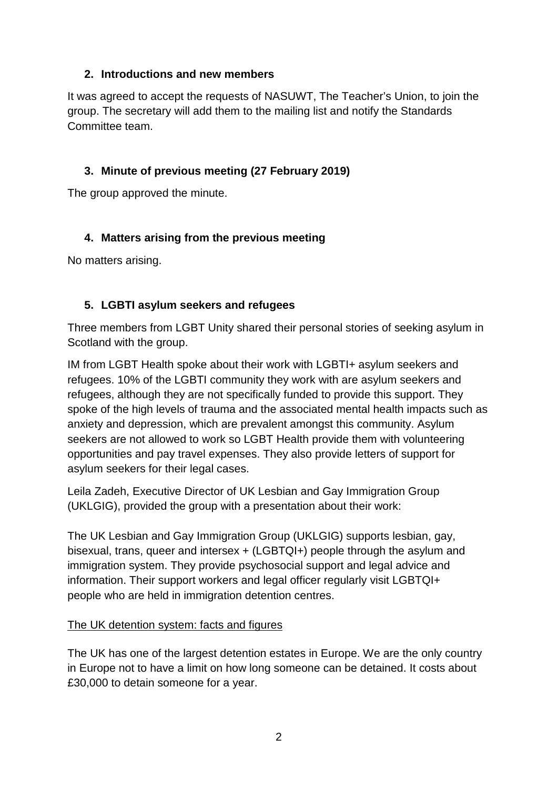# **2. Introductions and new members**

It was agreed to accept the requests of NASUWT, The Teacher's Union, to join the group. The secretary will add them to the mailing list and notify the Standards Committee team.

# **3. Minute of previous meeting (27 February 2019)**

The group approved the minute.

# **4. Matters arising from the previous meeting**

No matters arising.

# **5. LGBTI asylum seekers and refugees**

Three members from LGBT Unity shared their personal stories of seeking asylum in Scotland with the group.

IM from LGBT Health spoke about their work with LGBTI+ asylum seekers and refugees. 10% of the LGBTI community they work with are asylum seekers and refugees, although they are not specifically funded to provide this support. They spoke of the high levels of trauma and the associated mental health impacts such as anxiety and depression, which are prevalent amongst this community. Asylum seekers are not allowed to work so LGBT Health provide them with volunteering opportunities and pay travel expenses. They also provide letters of support for asylum seekers for their legal cases.

Leila Zadeh, Executive Director of UK Lesbian and Gay Immigration Group (UKLGIG), provided the group with a presentation about their work:

The UK Lesbian and Gay Immigration Group (UKLGIG) supports lesbian, gay, bisexual, trans, queer and intersex + (LGBTQI+) people through the asylum and immigration system. They provide psychosocial support and legal advice and information. Their support workers and legal officer regularly visit LGBTQI+ people who are held in immigration detention centres.

## The UK detention system: facts and figures

The UK has one of the largest detention estates in Europe. We are the only country in Europe not to have a limit on how long someone can be detained. It costs about £30,000 to detain someone for a year.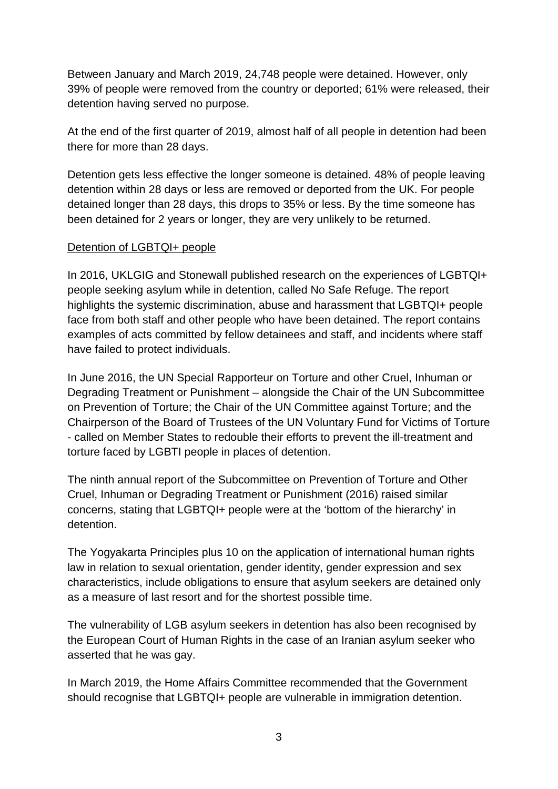Between January and March 2019, 24,748 people were detained. However, only 39% of people were removed from the country or deported; 61% were released, their detention having served no purpose.

At the end of the first quarter of 2019, almost half of all people in detention had been there for more than 28 days.

Detention gets less effective the longer someone is detained. 48% of people leaving detention within 28 days or less are removed or deported from the UK. For people detained longer than 28 days, this drops to 35% or less. By the time someone has been detained for 2 years or longer, they are very unlikely to be returned.

#### Detention of LGBTQI+ people

In 2016, UKLGIG and Stonewall published research on the experiences of LGBTQI+ people seeking asylum while in detention, called No Safe Refuge. The report highlights the systemic discrimination, abuse and harassment that LGBTQI+ people face from both staff and other people who have been detained. The report contains examples of acts committed by fellow detainees and staff, and incidents where staff have failed to protect individuals.

In June 2016, the UN Special Rapporteur on Torture and other Cruel, Inhuman or Degrading Treatment or Punishment – alongside the Chair of the UN Subcommittee on Prevention of Torture; the Chair of the UN Committee against Torture; and the Chairperson of the Board of Trustees of the UN Voluntary Fund for Victims of Torture - called on Member States to redouble their efforts to prevent the ill-treatment and torture faced by LGBTI people in places of detention.

The ninth annual report of the Subcommittee on Prevention of Torture and Other Cruel, Inhuman or Degrading Treatment or Punishment (2016) raised similar concerns, stating that LGBTQI+ people were at the 'bottom of the hierarchy' in detention.

The Yogyakarta Principles plus 10 on the application of international human rights law in relation to sexual orientation, gender identity, gender expression and sex characteristics, include obligations to ensure that asylum seekers are detained only as a measure of last resort and for the shortest possible time.

The vulnerability of LGB asylum seekers in detention has also been recognised by the European Court of Human Rights in the case of an Iranian asylum seeker who asserted that he was gay.

In March 2019, the Home Affairs Committee recommended that the Government should recognise that LGBTQI+ people are vulnerable in immigration detention.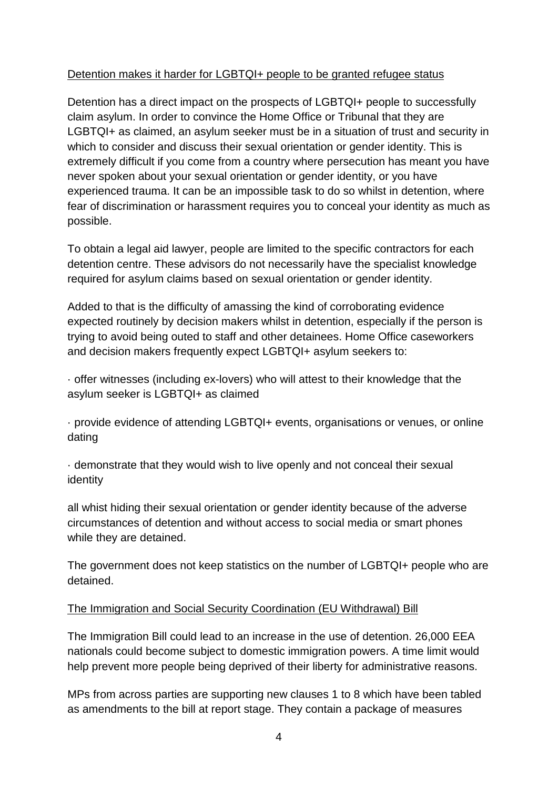## Detention makes it harder for LGBTQI+ people to be granted refugee status

Detention has a direct impact on the prospects of LGBTQI+ people to successfully claim asylum. In order to convince the Home Office or Tribunal that they are LGBTQI+ as claimed, an asylum seeker must be in a situation of trust and security in which to consider and discuss their sexual orientation or gender identity. This is extremely difficult if you come from a country where persecution has meant you have never spoken about your sexual orientation or gender identity, or you have experienced trauma. It can be an impossible task to do so whilst in detention, where fear of discrimination or harassment requires you to conceal your identity as much as possible.

To obtain a legal aid lawyer, people are limited to the specific contractors for each detention centre. These advisors do not necessarily have the specialist knowledge required for asylum claims based on sexual orientation or gender identity.

Added to that is the difficulty of amassing the kind of corroborating evidence expected routinely by decision makers whilst in detention, especially if the person is trying to avoid being outed to staff and other detainees. Home Office caseworkers and decision makers frequently expect LGBTQI+ asylum seekers to:

· offer witnesses (including ex-lovers) who will attest to their knowledge that the asylum seeker is LGBTQI+ as claimed

· provide evidence of attending LGBTQI+ events, organisations or venues, or online dating

· demonstrate that they would wish to live openly and not conceal their sexual identity

all whist hiding their sexual orientation or gender identity because of the adverse circumstances of detention and without access to social media or smart phones while they are detained.

The government does not keep statistics on the number of LGBTQI+ people who are detained.

## The Immigration and Social Security Coordination (EU Withdrawal) Bill

The Immigration Bill could lead to an increase in the use of detention. 26,000 EEA nationals could become subject to domestic immigration powers. A time limit would help prevent more people being deprived of their liberty for administrative reasons.

MPs from across parties are supporting new clauses 1 to 8 which have been tabled as amendments to the bill at report stage. They contain a package of measures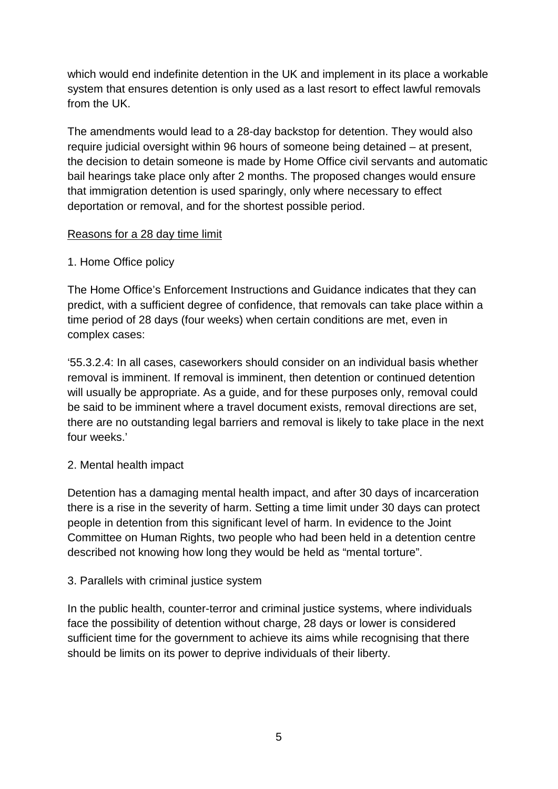which would end indefinite detention in the UK and implement in its place a workable system that ensures detention is only used as a last resort to effect lawful removals from the UK.

The amendments would lead to a 28-day backstop for detention. They would also require judicial oversight within 96 hours of someone being detained – at present, the decision to detain someone is made by Home Office civil servants and automatic bail hearings take place only after 2 months. The proposed changes would ensure that immigration detention is used sparingly, only where necessary to effect deportation or removal, and for the shortest possible period.

#### Reasons for a 28 day time limit

#### 1. Home Office policy

The Home Office's Enforcement Instructions and Guidance indicates that they can predict, with a sufficient degree of confidence, that removals can take place within a time period of 28 days (four weeks) when certain conditions are met, even in complex cases:

'55.3.2.4: In all cases, caseworkers should consider on an individual basis whether removal is imminent. If removal is imminent, then detention or continued detention will usually be appropriate. As a guide, and for these purposes only, removal could be said to be imminent where a travel document exists, removal directions are set, there are no outstanding legal barriers and removal is likely to take place in the next four weeks.'

## 2. Mental health impact

Detention has a damaging mental health impact, and after 30 days of incarceration there is a rise in the severity of harm. Setting a time limit under 30 days can protect people in detention from this significant level of harm. In evidence to the Joint Committee on Human Rights, two people who had been held in a detention centre described not knowing how long they would be held as "mental torture".

#### 3. Parallels with criminal justice system

In the public health, counter-terror and criminal justice systems, where individuals face the possibility of detention without charge, 28 days or lower is considered sufficient time for the government to achieve its aims while recognising that there should be limits on its power to deprive individuals of their liberty.